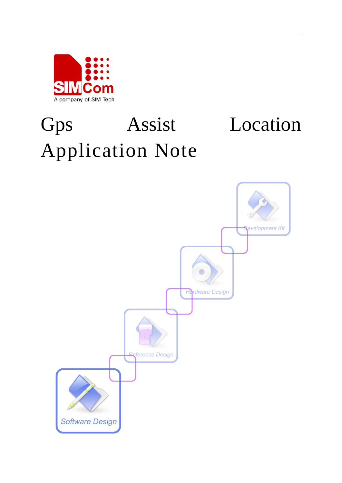

# Gps Assist Location Application Note

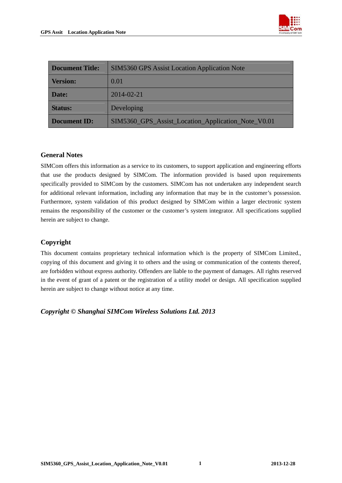

| <b>Document Title:</b>                                                    | <b>SIM5360 GPS Assist Location Application Note</b> |  |
|---------------------------------------------------------------------------|-----------------------------------------------------|--|
| <b>Version:</b>                                                           | 0.01                                                |  |
| Date:                                                                     | 2014-02-21                                          |  |
| <b>Status:</b>                                                            | Developing                                          |  |
| SIM5360_GPS_Assist_Location_Application_Note_V0.01<br><b>Document ID:</b> |                                                     |  |

#### **General Notes**

SIMCom offers this information as a service to its customers, to support application and engineering efforts that use the products designed by SIMCom. The information provided is based upon requirements specifically provided to SIMCom by the customers. SIMCom has not undertaken any independent search for additional relevant information, including any information that may be in the customer's possession. Furthermore, system validation of this product designed by SIMCom within a larger electronic system remains the responsibility of the customer or the customer's system integrator. All specifications supplied herein are subject to change.

#### **Copyright**

This document contains proprietary technical information which is the property of SIMCom Limited., copying of this document and giving it to others and the using or communication of the contents thereof, are forbidden without express authority. Offenders are liable to the payment of damages. All rights reserved in the event of grant of a patent or the registration of a utility model or design. All specification supplied herein are subject to change without notice at any time.

*Copyright © Shanghai SIMCom Wireless Solutions Ltd. 2013*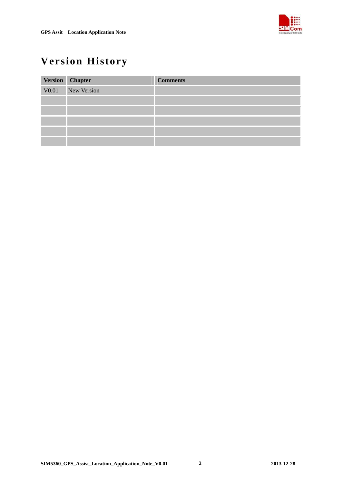

## <span id="page-2-0"></span>**Version History**

|       | Version Chapter | <b>Comments</b> |
|-------|-----------------|-----------------|
| V0.01 | New Version     |                 |
|       |                 |                 |
|       |                 |                 |
|       |                 |                 |
|       |                 |                 |
|       |                 |                 |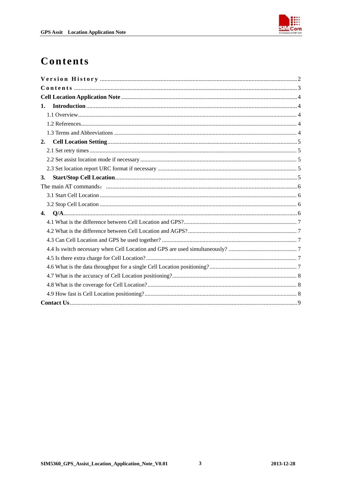

## <span id="page-3-0"></span>Contents

| 1. |
|----|
|    |
|    |
|    |
| 2. |
|    |
|    |
|    |
| 3. |
|    |
|    |
|    |
|    |
|    |
|    |
|    |
|    |
|    |
|    |
|    |
|    |
|    |
|    |

 $\mathbf{3}$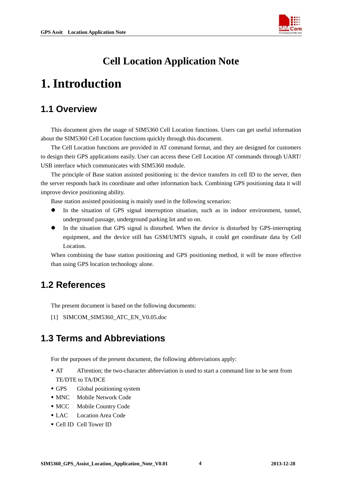

## **Cell Location Application Note**

## <span id="page-4-0"></span>**1. Introduction**

#### **1.1 Overview**

This document gives the usage of SIM5360 Cell Location functions. Users can get useful information about the SIM5360 Cell Location functions quickly through this document.

The Cell Location functions are provided in AT command format, and they are designed for customers to design their GPS applications easily. User can access these Cell Location AT commands through UART/ USB interface which communicates with SIM5360 module.

The principle of Base station assisted positioning is: the device transfers its cell ID to the server, then the server responds back its coordinate and other information back. Combining GPS positioning data it will improve device positioning ability.

Base station assisted positioning is mainly used in the following scenarios:

- In the situation of GPS signal interruption situation, such as in indoor environment, tunnel, underground passage, underground parking lot and so on.
- In the situation that GPS signal is disturbed. When the device is disturbed by GPS-interrupting equipment, and the device still has GSM/UMTS signals, it could get coordinate data by Cell Location.

When combining the base station positioning and GPS positioning method, it will be more effective than using GPS location technology alone.

#### **1.2 References**

The present document is based on the following documents:

[1] SIMCOM\_SIM5360\_ATC\_EN\_V0.05.doc

#### **1.3 Terms and Abbreviations**

For the purposes of the present document, the following abbreviations apply:

- AT ATtention; the two-character abbreviation is used to start a command line to be sent from TE/DTE to TA/DCE
- GPS Global positioning system
- **MNC** Mobile Network Code
- MCC Mobile Country Code
- LAC Location Area Code
- Cell ID Cell Tower ID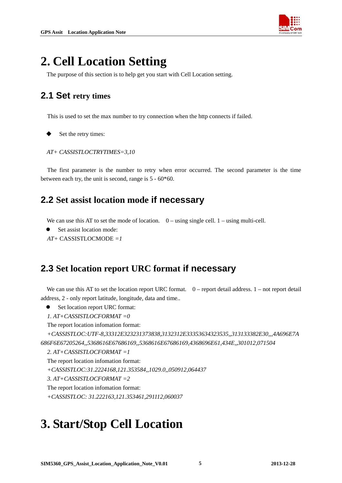

## <span id="page-5-0"></span>**2. Cell Location Setting**

The purpose of this section is to help get you start with Cell Location setting.

#### **2.1 Set retry times**

This is used to set the max number to try connection when the http connects if failed.

Set the retry times:

```
AT+ CASSISTLOCTRYTIMES=3,10
```
The first parameter is the number to retry when error occurred. The second parameter is the time between each try, the unit is second, range is 5 - 60\*60.

#### **2.2 Set assist location mode if necessary**

We can use this AT to set the mode of location.  $0$  – using single cell.  $1$  – using multi-cell.

```
Set assist location mode:
```

```
AT+ CASSISTLOCMODE =1
```
#### **2.3 Set location report URC format if necessary**

We can use this AT to set the location report URC format.  $0$  – report detail address.  $1$  – not report detail address, 2 - only report latitude, longitude, data and time..

- Set location report URC format:
- *1. AT+CASSISTLOCFORMAT =0*

The report location infomation format:

*+CASSISTLOC:UTF-8,33312E323231373838,3132312E33353634323535,,313133382E30,,,4A696E7A 686F6E67205264,,5368616E67686169,,5368616E67686169,4368696E61,434E,,301012,071504* 

*2. AT+CASSISTLOCFORMAT =1* 

```
The report location infomation format:
+CASSISTLOC:31.2224168,121.353584,,1029.0,,050912,064437 
3. AT+CASSISTLOCFORMAT =2 
The report location infomation format:
+CASSISTLOC: 31.222163,121.353461,291112,060037
```
# **3. Start/Stop Cell Location**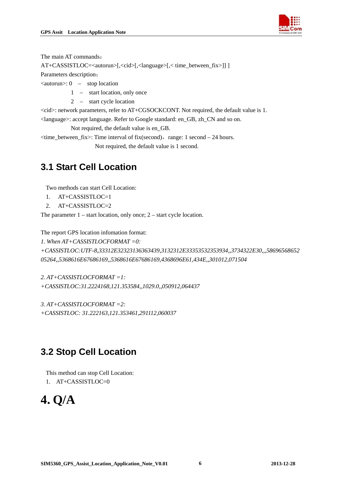

<span id="page-6-0"></span>The main AT commands:

AT+CASSISTLOC=<autorun>[,<cid>[,<language>[,< time\_between\_fix>]] ]

Parameters description:

 $\langle$ autorun $\rangle$ : 0 – stop location

- 1 start location, only once
- 2 start cycle location

<cid>: network parameters, refer to AT+CGSOCKCONT. Not required, the default value is 1.

<language>: accept language. Refer to Google standard: en\_GB, zh\_CN and so on.

Not required, the default value is en\_GB.

 $\langle$ time\_between\_fix>: Time interval of fix(second), range: 1 second – 24 hours.

Not required, the default value is 1 second.

#### **3.1 Start Cell Location**

Two methods can start Cell Location:

- 1. AT+CASSISTLOC=1
- 2. AT+CASSISTLOC=2

The parameter  $1 - start location$ , only once;  $2 - start cycle location$ .

The report GPS location infomation format:

*1. When AT+CASSISTLOCFORMAT =0:*

*+CASSISTLOC:UTF-8,33312E32323136363439,3132312E33353532353934,,3734322E30,,,58696568652 05264,,5368616E67686169,,5368616E67686169,4368696E61,434E,,301012,071504* 

*2. AT+CASSISTLOCFORMAT =1: +CASSISTLOC:31.2224168,121.353584,,1029.0,,050912,064437* 

*3. AT+CASSISTLOCFORMAT =2: +CASSISTLOC: 31.222163,121.353461,291112,060037* 

### **3.2 Stop Cell Location**

This method can stop Cell Location:

1.  $AT+CASSISTLOC=0$ 

```
4. Q/A
```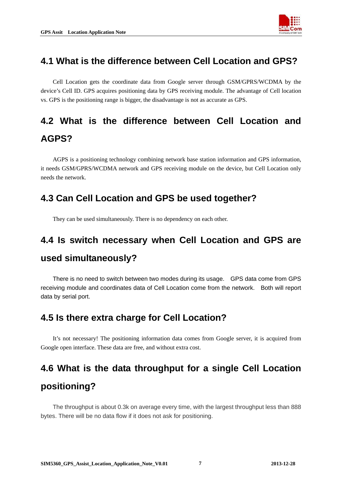

#### <span id="page-7-0"></span>**4.1 What is the difference between Cell Location and GPS?**

 Cell Location gets the coordinate data from Google server through GSM/GPRS/WCDMA by the device's Cell ID. GPS acquires positioning data by GPS receiving module. The advantage of Cell location vs. GPS is the positioning range is bigger, the disadvantage is not as accurate as GPS.

## **4.2 What is the difference between Cell Location and AGPS?**

 AGPS is a positioning technology combining network base station information and GPS information, it needs GSM/GPRS/WCDMA network and GPS receiving module on the device, but Cell Location only needs the network.

### **4.3 Can Cell Location and GPS be used together?**

They can be used simultaneously. There is no dependency on each other.

## **4.4 Is switch necessary when Cell Location and GPS are used simultaneously?**

There is no need to switch between two modes during its usage. GPS data come from GPS receiving module and coordinates data of Cell Location come from the network. Both will report data by serial port.

#### **4.5 Is there extra charge for Cell Location?**

 It's not necessary! The positioning information data comes from Google server, it is acquired from Google open interface. These data are free, and without extra cost.

# **4.6 What is the data throughput for a single Cell Location positioning?**

The throughput is about 0.3k on average every time, with the largest throughput less than 888 bytes. There will be no data flow if it does not ask for positioning.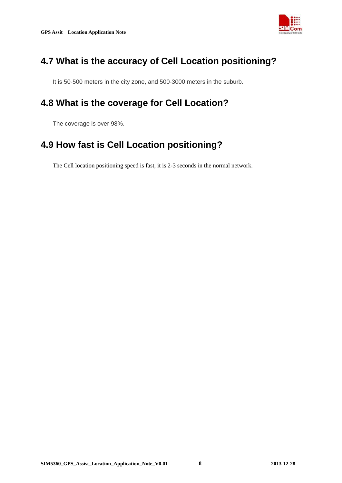

#### <span id="page-8-0"></span>**4.7 What is the accuracy of Cell Location positioning?**

It is 50-500 meters in the city zone, and 500-3000 meters in the suburb.

#### **4.8 What is the coverage for Cell Location?**

The coverage is over 98%.

#### **4.9 How fast is Cell Location positioning?**

The Cell location positioning speed is fast, it is 2-3 seconds in the normal network.